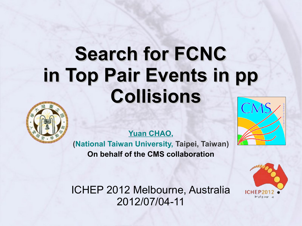### **Search for FCNC in Top Pair Events in pp Collisions**



**Yuan CHAO,**

**(National Taiwan University, Taipei, Taiwan) On behalf of the CMS collaboration**

ICHEP 2012 Melbourne, Australia 2012/07/04-11



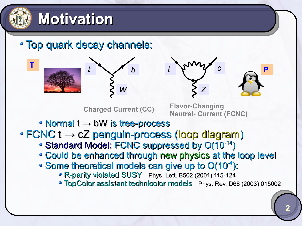

**T**

### **Motivation**

Top quark decay channels:







**Charged Current (CC) Flavor-Changing Neutral- Current (FCNC)**

• Normal t → bW is tree-process

#### $\cdot$  FCNC t  $\rightarrow$  cZ penguin-process (loop diagram)

- Standard Model: FCNC suppressed by O(10-14)
- Could be enhanced through new physics at the loop level
- Some theoretical models can give up to  $O(10^{-4})$ :
	- R-parity violated SUSY Phys. Lett. B502 (2001) 115-124
	- TopColor assistant technicolor models Phys. Rev. D68 (2003) 015002

**P**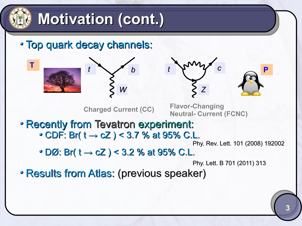

**T**

### **Motivation (cont.)**

Top quark decay channels:





**Charged Current (CC) Flavor-Changing** 

**Neutral- Current (FCNC)**

Recently from Tevatron experiment:  $\cdot$  CDF: Br(  $t \to cZ$  ) < 3.7 % at 95% C.L.

Phy. Rev. Lett. 101 (2008) 192002

**P**

 $\cdot$  DØ: Br(  $t \to cZ$  ) < 3.2 % at 95% C.L.

Phy. Lett. B 701 (2011) 313

• Results from Atlas: (previous speaker)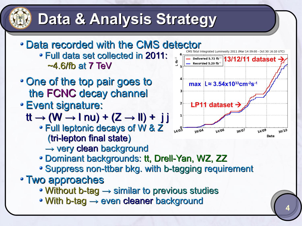### **Data & Analysis Strategy**

- Data recorded with the CMS detector Full data set collected in 2011: ~4.6/fb at 7 TeV
- One of the top pair goes to the FCNC decay channel
- Event signature:
	- $tt \rightarrow (W \rightarrow \text{I} \text{nu}) + (Z \rightarrow \text{II}) + \text{j}$ 
		- Full leptonic decays of W & Z (tri-lepton final state)
			- → very clean background
		- Dominant backgrounds: tt, Drell-Yan, WZ, ZZ
		- Suppress non-ttbar bkg. with b-tagging requirement
- Two approaches
	- Without b-tag → similar to previous studies
	- With b-tag → even cleaner background

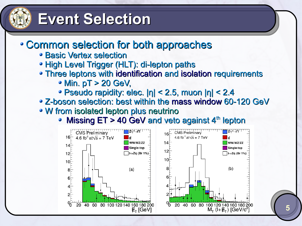

### **Event Selection**

#### Common selection for both approaches

- Basic Vertex selection
- High Level Trigger (HLT): di-lepton paths
- Three leptons with identification and isolation requirements
	- Min. pT > 20 GeV,
	- Pseudo rapidity: elec. |η| < 2.5, muon |η| < 2.4
- Z-boson selection: best within the mass window 60-120 GeV
- W from isolated lepton plus neutrino
	- Missing  $ET > 40$  GeV and veto against  $4<sup>th</sup>$  lepton

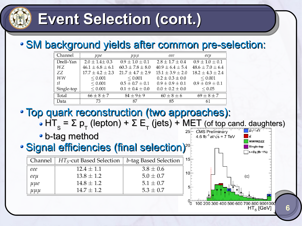

### **Event Selection (cont.)**

#### SM background yields after common pre-selection:

| Channel    | uµe                    | $\mu\mu\mu$            | eee                    | eeu                    |
|------------|------------------------|------------------------|------------------------|------------------------|
| Drell-Yan  | $2.0 \pm 1.4 \pm 0.3$  | $0.9 \pm 1.0 \pm 0.1$  | $2.8 \pm 1.7 \pm 0.4$  | $0.9 \pm 1.0 \pm 0.1$  |
| WZ         | $46.1 \pm 6.8 \pm 6.1$ | $60.3 \pm 7.8 \pm 8.0$ | $40.9 \pm 6.4 \pm 5.4$ | $48.6 \pm 7.0 \pm 6.4$ |
| ZZ         | $17.7 \pm 4.2 \pm 2.3$ | $21.7 \pm 4.7 \pm 2.9$ | $15.1 \pm 3.9 \pm 2.0$ | $18.2 \pm 4.3 \pm 2.4$ |
| <b>WW</b>  | < 0.001                | ${}< 0.001$            | $0.2 \pm 0.3 \pm 0.0$  | < 0.001                |
| $t\bar{t}$ | ${}< 0.001$            | $0.5 \pm 0.7 \pm 0.1$  | $0.9 \pm 0.9 \pm 0.1$  | $0.9 \pm 0.9 \pm 0.1$  |
| Single-top | < 0.001                | $0.1 \pm 0.4 \pm 0.0$  | $0.0 \pm 0.2 \pm 0.0$  | < 0.05                 |
| Total      | $66 \pm 8 \pm 7$       | $84 \pm 9 \pm 9$       | $60 \pm 8 \pm 6$       | $69 \pm 8 \pm 7$       |
| Data       | 73                     | 87                     | 85                     | 61                     |

Top quark reconstruction (two approaches):  $HT_s = \Sigma p_T$  (lepton) + Σ E<sub>τ</sub> (jets) + MET (of top cand. daughters)

b-tag method

#### • Signal efficiencies (final selection)<sup>20</sup>

|             | Channel $ HT_S$ -cut Based Selection $ $ | <i>b</i> -tag Based Selection |
|-------------|------------------------------------------|-------------------------------|
| eee         | $12.4 \pm 1.1$                           | $3.8 \pm 0.6$                 |
| eeµ         | $13.8 \pm 1.2$                           | $5.0 \pm 0.7$                 |
| $\mu\mu e$  | $14.8 \pm 1.2$                           | $5.1 \pm 0.7$                 |
| $\mu\mu\mu$ | $14.7 + 1.2$                             | $5.3 \pm 0.7$                 |

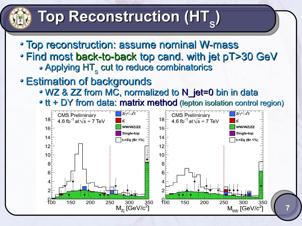## Top Reconstruction (HT<sub>s</sub>)

- Top reconstruction: assume nominal W-mass
- Find most back-to-back top cand. with jet pT>30 GeV Applying  $\mathsf{HT}_{_\mathsf{S}}$  cut to reduce combinatorics
- Estimation of backgrounds
	- WZ & ZZ from MC, normalized to N\_jet=0 bin in data

• tt + DY from data: matrix method (lepton isolation control region)

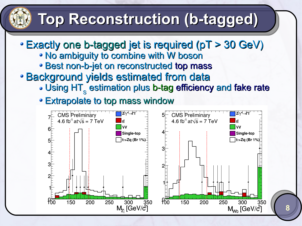### **Top Reconstruction (b-tagged)**

- Exactly one b-tagged jet is required (pT > 30 GeV)
	- No ambiguity to combine with W boson
	- Best non-b-jet on reconstructed top mass
- Background yields estimated from data
	- Using  $\mathsf{HT}_\mathsf{S}$  estimation plus b-tag efficiency and fake rate
	- Extrapolate to top mass window

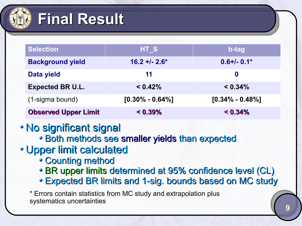

### **Final Result**

| <b>Selection</b>            | HT_S                | b-tag               |  |
|-----------------------------|---------------------|---------------------|--|
| <b>Background yield</b>     | $16.2 + 2.6*$       | $0.6 + (-0.1*)$     |  |
| Data yield                  | 11                  | $\boldsymbol{0}$    |  |
| <b>Expected BR U.L.</b>     | < 0.42%             | $< 0.34\%$          |  |
| (1-sigma bound)             | $[0.30\% - 0.64\%]$ | $[0.34\% - 0.48\%]$ |  |
| <b>Observed Upper Limit</b> | $< 0.39\%$          | $< 0.34\%$          |  |

- No significant signal
	- Both methods see smaller yields than expected
- Upper limit calculated
	- Counting method
	- BR upper limits determined at 95% confidence level (CL)
	- Expected BR limits and 1-sig. bounds based on MC study

\* Errors contain statistics from MC study and extrapolation plus systematics uncertainties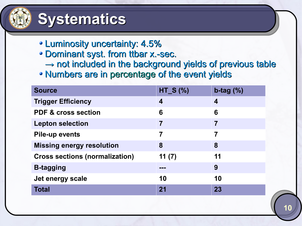

#### **Systematics**

- Luminosity uncertainty: 4.5%
- Dominant syst. from ttbar x.-sec.
	- $\rightarrow$  not included in the background yields of previous table
- Numbers are in percentage of the event yields

| <b>Source</b>                         | $HT_S$ $%$       | $b$ -tag $(\%)$ |
|---------------------------------------|------------------|-----------------|
| <b>Trigger Efficiency</b>             | $\boldsymbol{4}$ | 4               |
| <b>PDF &amp; cross section</b>        | 6                | 6               |
| <b>Lepton selection</b>               | $\overline{7}$   | 7               |
| <b>Pile-up events</b>                 | 7                | 7               |
| <b>Missing energy resolution</b>      | 8                | 8               |
| <b>Cross sections (normalization)</b> | 11(7)            | 11              |
| <b>B-tagging</b>                      | ---              | 9               |
| Jet energy scale                      | 10               | 10              |
| <b>Total</b>                          | 21               | 23              |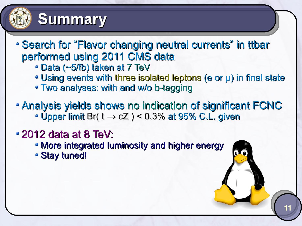

#### **Summary**

- Search for "Flavor changing neutral currents" in ttbar performed using 2011 CMS data
	- Data (~5/fb) taken at 7 TeV
	- Using events with three isolated leptons (e or μ) in final state

- Two analyses: with and w/o b-tagging
- Analysis yields shows no indication of significant FCNC • Upper limit Br( $t \rightarrow cZ$ ) < 0.3% at 95% C.L. given
- 2012 data at 8 TeV:
	- More integrated luminosity and higher energy
	- Stay tuned!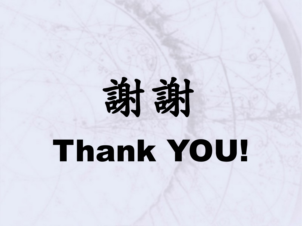# 謝謝

## Thank YOU!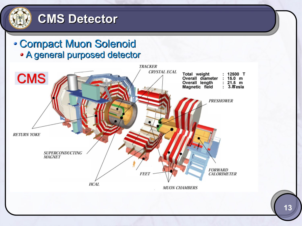

#### **CMS Detector**

Compact Muon Solenoid A general purposed detector

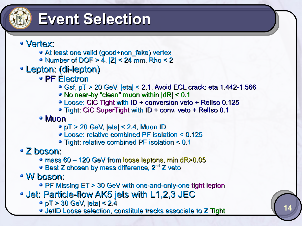

### **Event Selection**

- Vertex:
	- At least one valid (good+non\_fake) vertex
	- Number of DOF  $> 4$ ,  $|Z| < 24$  mm, Rho  $< 2$
- Lepton: (di-lepton)
	- PF Electron
		- Gsf, pT > 20 GeV, |eta| < 2.1, Avoid ECL crack: eta 1.442-1.566

**14**

- No near-by "clean" muon within |dR| < 0.1
- Loose: CiC Tight with ID + conversion veto + RelIso 0.125
- Tight: CiC SuperTight with ID + conv. veto + RelIso 0.1
- Muon
	- pT > 20 GeV, |eta| < 2.4, Muon ID
	- Loose: relative combined PF isolation < 0.125
	- Tight: relative combined PF isolation < 0.1

#### Z boson:

- mass 60 120 GeV from loose leptons, min dR>0.05
- Best Z chosen by mass difference, 2<sup>nd</sup> Z veto

W boson:

- PF Missing ET > 30 GeV with one-and-only-one tight lepton
- Jet: Particle-flow AK5 jets with L1,2,3 JEC
	- pT > 30 GeV, |eta| < 2.4
	- JetID Loose selection, constitute tracks associate to Z Tight